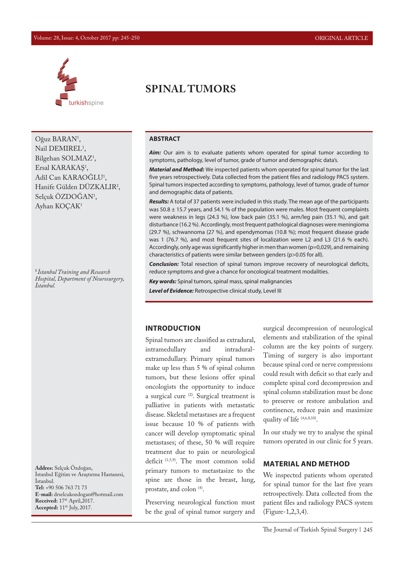#### Volume: 28, Issue: 4, October 2017 pp: 245-250 ORIGINAL ARTICLE



Oğuz BARAN<sup>1</sup>, Nail DEMIREL<sup>1</sup>, Bilgehan SOLMAZ<sup>1</sup>, Ersal KARAKAŞ1 , Adil Can KARAOGLU<sup>1</sup>, Hanife Gülden DÜZKALIR2 , Selçuk ÖZDOGAN<sup>1</sup>, Ayhan KOÇAK1

**<sup>1</sup>***İstanbul Training and Research Hospital, Department of Neurosurgery, İstanbul.* 

**Addres:** Selçuk Özdoğan, İstanbul Eğitim ve Araştırma Hastanesi, İstanbul. **Tel:** +90 506 763 71 73 **E-mail:** drselcukozdogan@hotmail.com Received: 17<sup>th</sup> April, 2017. **Accepted:** 11th July, 2017.

# **SPINAL TUMORS**

### **ABSTRACT**

*Aim:* Our aim is to evaluate patients whom operated for spinal tumor according to symptoms, pathology, level of tumor, grade of tumor and demographic data's.

*Material and Method:* We inspected patients whom operated for spinal tumor for the last five years retrospectively. Data collected from the patient files and radiology PACS system. Spinal tumors inspected according to symptoms, pathology, level of tumor, grade of tumor and demographic data of patients.

*Results:* A total of 37 patients were included in this study. The mean age of the participants was 50.8  $\pm$  15.7 years, and 54.1 % of the population were males. Most frequent complaints were weakness in legs (24.3 %), low back pain (35.1 %), arm/leg pain (35.1 %), and gait disturbance (16.2 %). Accordingly, most frequent pathological diagnoses were meningioma (29.7 %), schwannoma (27 %), and ependymomas (10.8 %); most frequent disease grade was 1 (76.7 %), and most frequent sites of localization were L2 and L3 (21.6 % each). Accordingly, only age was significantly higher in men than women (p=0,029), and remaining characteristics of patients were similar between genders (p>0.05 for all).

*Conclusion:* Total resection of spinal tumors improve recovery of neurological deficits, reduce symptoms and give a chance for oncological treatment modalities.

*Key words:* Spinal tumors, spinal mass, spinal malignancies

*Level of Evidence:* Retrospective clinical study, Level III

### **INTRODUCTION**

Spinal tumors are classified as extradural, intramedullary and intraduralextramedullary. Primary spinal tumors make up less than 5 % of spinal column tumors, but these lesions offer spinal oncologists the opportunity to induce a surgical cure  $(2)$ . Surgical treatment is palliative in patients with metastatic disease. Skeletal metastases are a frequent issue because 10 % of patients with cancer will develop symptomatic spinal metastases; of these, 50 % will require treatment due to pain or neurological deficit (1,5,9). The most common solid primary tumors to metastasize to the spine are those in the breast, lung, prostate, and colon (4).

Preserving neurological function must be the goal of spinal tumor surgery and surgical decompression of neurological elements and stabilization of the spinal column are the key points of surgery. Timing of surgery is also important because spinal cord or nerve compressions could result with deficit so that early and complete spinal cord decompression and spinal column stabilization must be done to preserve or restore ambulation and continence, reduce pain and maximize quality of life  $(4,6,8,10)$ .

In our study we try to analyse the spinal tumors operated in our clinic for 5 years.

### **MATERIAL AND METHOD**

We inspected patients whom operated for spinal tumor for the last five years retrospectively. Data collected from the patient files and radiology PACS system (Figure-1,2,3,4).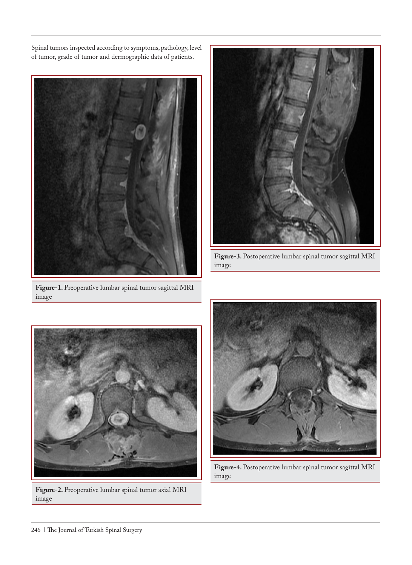Spinal tumors inspected according to symptoms, pathology, level of tumor, grade of tumor and dermographic data of patients.



**Figure-1.** Preoperative lumbar spinal tumor sagittal MRI image



**Figure-3.** Postoperative lumbar spinal tumor sagittal MRI image



**Figure-2.** Preoperative lumbar spinal tumor axial MRI image



**Figure-4.** Postoperative lumbar spinal tumor sagittal MRI image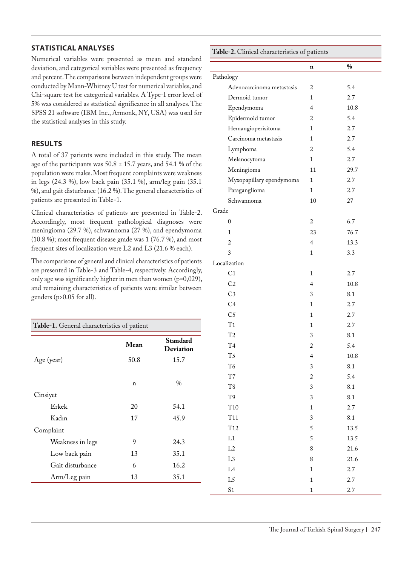## **STATISTICAL ANALYSES**

Numerical variables were presented as mean and standard deviation, and categorical variables were presented as frequency and percent. The comparisons between independent groups were conducted by Mann-Whitney U test for numerical variables, and Chi-square test for categorical variables. A Type-I error level of 5% was considered as statistical significance in all analyses. The SPSS 21 software (IBM Inc., Armonk, NY, USA) was used for the statistical analyses in this study.

## **RESULTS**

A total of 37 patients were included in this study. The mean age of the participants was 50.8 ± 15.7 years, and 54.1 % of the population were males. Most frequent complaints were weakness in legs (24.3 %), low back pain (35.1 %), arm/leg pain (35.1 %), and gait disturbance (16.2 %). The general characteristics of patients are presented in Table-1.

Clinical characteristics of patients are presented in Table-2. Accordingly, most frequent pathological diagnoses were meningioma (29.7 %), schwannoma (27 %), and ependymoma (10.8 %); most frequent disease grade was 1 (76.7 %), and most frequent sites of localization were L2 and L3 (21.6 % each).

The comparisons of general and clinical characteristics of patients are presented in Table-3 and Table-4, respectively. Accordingly, only age was significantly higher in men than women (p=0,029), and remaining characteristics of patients were similar between genders (p>0.05 for all).

| Table-1. General characteristics of patient |      |                              |  |  |
|---------------------------------------------|------|------------------------------|--|--|
|                                             | Mean | Standard<br><b>Deviation</b> |  |  |
| Age (year)                                  | 50.8 | 15.7                         |  |  |
| Cinsiyet                                    | n    | $\%$                         |  |  |
| Erkek                                       | 20   | 54.1                         |  |  |
| Kadın                                       | 17   | 45.9                         |  |  |
| Complaint                                   |      |                              |  |  |
| Weakness in legs                            | 9    | 24.3                         |  |  |
| Low back pain                               | 13   | 35.1                         |  |  |
| Gait disturbance                            | 6    | 16.2                         |  |  |
| Arm/Leg pain                                | 13   | 35.1                         |  |  |

| Table-2. Clinical characteristics of patients |                          |                 |  |  |
|-----------------------------------------------|--------------------------|-----------------|--|--|
|                                               | n                        | $\%$            |  |  |
| Pathology                                     |                          |                 |  |  |
| Adenocarcinoma metastasis                     | $\overline{2}$           | 5.4             |  |  |
| Dermoid tumor                                 | 1                        | 2.7             |  |  |
| Ependymoma                                    | $\overline{4}$           | 10.8            |  |  |
| Epidermoid tumor                              | $\overline{2}$           | 5.4             |  |  |
| Hemangioperisitoma                            | 1                        | 2.7             |  |  |
| Carcinoma metastasis                          | 1                        | 2.7             |  |  |
| Lymphoma                                      | 2                        | 5.4             |  |  |
| Melanocytoma                                  | 1                        | 2.7             |  |  |
| Meningioma                                    | 11                       | 29.7            |  |  |
| Myxopapillary ependymoma                      | 1                        | 2.7             |  |  |
| Paraganglioma                                 | $\mathbf{1}$             | 2.7             |  |  |
| Schwannoma                                    | 10                       | 27              |  |  |
| Grade                                         |                          |                 |  |  |
| 0                                             | $\overline{2}$           | 6.7             |  |  |
| 1                                             | 23                       | 76.7            |  |  |
| $\overline{2}$                                | $\overline{\mathbf{4}}$  | 13.3            |  |  |
| 3                                             | $\mathbf{1}$             | 3.3             |  |  |
| Localization                                  |                          |                 |  |  |
| C <sub>1</sub>                                | $\mathbf{1}$             | 2.7             |  |  |
| C <sub>2</sub>                                | 4                        | 10.8            |  |  |
| C <sub>3</sub>                                | 3                        | 8.1             |  |  |
| C <sub>4</sub>                                | $\mathbf{1}$             | 2.7             |  |  |
| C <sub>5</sub>                                | 1                        | 2.7             |  |  |
| T1                                            | $\mathbf{1}$             | 2.7             |  |  |
| T2                                            | 3                        | 8.1             |  |  |
| T <sub>4</sub>                                | $\overline{\mathbf{c}}$  | 5.4             |  |  |
| T <sub>5</sub>                                | $\overline{\mathcal{A}}$ | $10.8\,$        |  |  |
| T <sub>6</sub>                                | 3                        | $\!\!\!\!\!8.1$ |  |  |
| $\rm{T}7$                                     | $\overline{c}$           | 5.4             |  |  |
| $\rm{T}8$                                     | 3                        | 8.1             |  |  |
| T9                                            | 3                        | 8.1             |  |  |
| $\rm T10$                                     | $\mathbf{1}$             | 2.7             |  |  |
| T <sub>11</sub>                               | 3                        | 8.1             |  |  |
| T <sub>12</sub>                               | 5                        | 13.5            |  |  |
| L1                                            | 5                        | 13.5            |  |  |
| L2                                            | 8                        | 21.6            |  |  |
| $\rm L3$                                      | 8                        | 21.6            |  |  |
| $\rm L4$                                      | $\mathbf 1$              | 2.7             |  |  |
| L <sub>5</sub>                                | $\mathbf{1}$             | 2.7             |  |  |
| S <sub>1</sub>                                | $\mathbf{1}$             | 2.7             |  |  |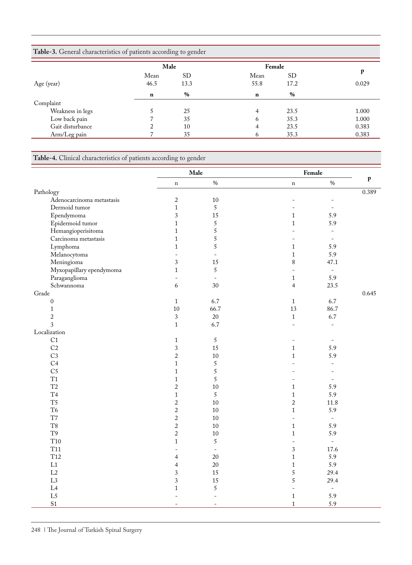| Table-3. General characteristics of patients according to gender |             |      |             |      |       |  |  |
|------------------------------------------------------------------|-------------|------|-------------|------|-------|--|--|
|                                                                  | Male        |      | Female      |      |       |  |  |
|                                                                  | Mean        | SD   | Mean        | SD.  | р     |  |  |
| Age (year)                                                       | 46.5        | 13.3 | 55.8        | 17.2 | 0.029 |  |  |
|                                                                  | $\mathbf n$ | $\%$ | $\mathbf n$ | $\%$ |       |  |  |
| Complaint                                                        |             |      |             |      |       |  |  |
| Weakness in legs                                                 |             | 25   | 4           | 23.5 | 1.000 |  |  |
| Low back pain                                                    |             | 35   | 6           | 35.3 | 1.000 |  |  |
| Gait disturbance                                                 |             | 10   | 4           | 23.5 | 0.383 |  |  |
| Arm/Leg pain                                                     |             | 35   | b           | 35.3 | 0.383 |  |  |

**Table-4.** Clinical characteristics of patients according to gender

|                           | Male                     |                          |                          | Female                   |              |
|---------------------------|--------------------------|--------------------------|--------------------------|--------------------------|--------------|
|                           | $\mathbf n$              | $0\!/\!0$                | $\mathbf n$              | $\%$                     | $\mathbf{p}$ |
| Pathology                 |                          |                          |                          |                          | 0.389        |
| Adenocarcinoma metastasis | $\sqrt{2}$               | 10                       | $\overline{\phantom{0}}$ | $\overline{\phantom{0}}$ |              |
| Dermoid tumor             | $\mathbf 1$              | $\sqrt{5}$               | $\overline{a}$           | $\equiv$                 |              |
| Ependymoma                | 3                        | 15                       | $\mathbf 1$              | 5.9                      |              |
| Epidermoid tumor          | $\mathbf 1$              | $\sqrt{5}$               | $\mathbf 1$              | 5.9                      |              |
| Hemangioperisitoma        | $\mathbf{1}$             | $\sqrt{5}$               | L.                       | $\equiv$                 |              |
| Carcinoma metastasis      | $\mathbf{1}$             | $\sqrt{5}$               | $\overline{\phantom{0}}$ | $\equiv$                 |              |
| Lymphoma                  | $\mathbf 1$              | $\sqrt{5}$               | $\mathbf{1}$             | 5.9                      |              |
| Melanocytoma              | $\overline{\phantom{a}}$ | $\overline{\phantom{a}}$ | $\mathbf{1}$             | 5.9                      |              |
| Meningioma                | 3                        | 15                       | $\,8$                    | 47.1                     |              |
| Myxopapillary ependymoma  | $\mathbf 1$              | $\sqrt{5}$               | $\overline{\phantom{0}}$ | $\equiv$                 |              |
| Paraganglioma             | $\blacksquare$           | $\Box$                   | $\mathbf{1}$             | 5.9                      |              |
| Schwannoma                | 6                        | 30                       | $\overline{4}$           | 23.5                     |              |
| Grade                     |                          |                          |                          |                          | 0.645        |
| $\boldsymbol{0}$          | $\mathbf{1}$             | 6.7                      | $\mathbf{1}$             | 6.7                      |              |
| $\mathbf 1$               | 10                       | 66.7                     | 13                       | 86.7                     |              |
| $\sqrt{2}$                | $\sqrt{3}$               | 20                       | $\mathbf{1}$             | 6.7                      |              |
| 3                         | $\mathbf 1$              | 6.7                      | $\overline{a}$           | $\overline{\phantom{a}}$ |              |
| Localization              |                          |                          |                          |                          |              |
| C1                        | $\mathbf{1}$             | $\mathfrak{S}$           | $\overline{\phantom{0}}$ | $\overline{\phantom{a}}$ |              |
| C <sub>2</sub>            | $\overline{3}$           | 15                       | $\mathbf{1}$             | 5.9                      |              |
| C <sub>3</sub>            | $\overline{2}$           | $10\,$                   | $\mathbf{1}$             | 5.9                      |              |
| C <sub>4</sub>            | $\mathbf{1}$             | 5                        | ۳                        | $\overline{\phantom{a}}$ |              |
| C <sub>5</sub>            | $\mathbf 1$              | $\sqrt{5}$               |                          |                          |              |
| T1                        | $\mathbf{1}$             | 5                        | $\overline{\phantom{0}}$ | $\overline{\phantom{a}}$ |              |
| T2                        | $\sqrt{2}$               | 10                       | $\mathbf 1$              | 5.9                      |              |
| T <sub>4</sub>            | $\mathbf{1}$             | 5                        | $\mathbf 1$              | 5.9                      |              |
| $\rm{T}5$                 | $\sqrt{2}$               | 10                       | $\overline{c}$           | 11.8                     |              |
| $\mathrm{T6}$             | $\sqrt{2}$               | $10\,$                   | $\mathbf{1}$             | 5.9                      |              |
| T7                        | $\sqrt{2}$               | $10\,$                   | $\frac{1}{2}$            | $\equiv$                 |              |
| T <sub>8</sub>            | $\sqrt{2}$               | $10\,$                   | $\mathbf{1}$             | 5.9                      |              |
| $\rm{T}9$                 | $\sqrt{2}$               | 10                       | $\mathbf 1$              | 5.9                      |              |
| T <sub>10</sub>           | $\mathbf 1$              | $\sqrt{5}$               | ÷,                       | $\equiv$                 |              |
| <b>T11</b>                | $\equiv$                 | $\equiv$                 | $\mathfrak{Z}$           | 17.6                     |              |
| T <sub>12</sub>           | $\overline{4}$           | 20                       | $\mathbf 1$              | 5.9                      |              |
| L1                        | $\overline{4}$           | 20                       | $\mathbf 1$              | 5.9                      |              |
| L2                        | 3                        | 15                       | 5                        | 29.4                     |              |
| L3                        | 3                        | 15                       | 5                        | 29.4                     |              |
| L4                        | $\mathbf 1$              | $\sqrt{5}$               | $\overline{\phantom{a}}$ | $\overline{\phantom{a}}$ |              |
| L5                        | $\overline{a}$           | $\overline{a}$           | $\mathbf{1}$             | 5.9                      |              |
| S <sub>1</sub>            | $\sim$                   | $\equiv$                 | $\mathbf{1}$             | 5.9                      |              |
|                           |                          |                          |                          |                          |              |